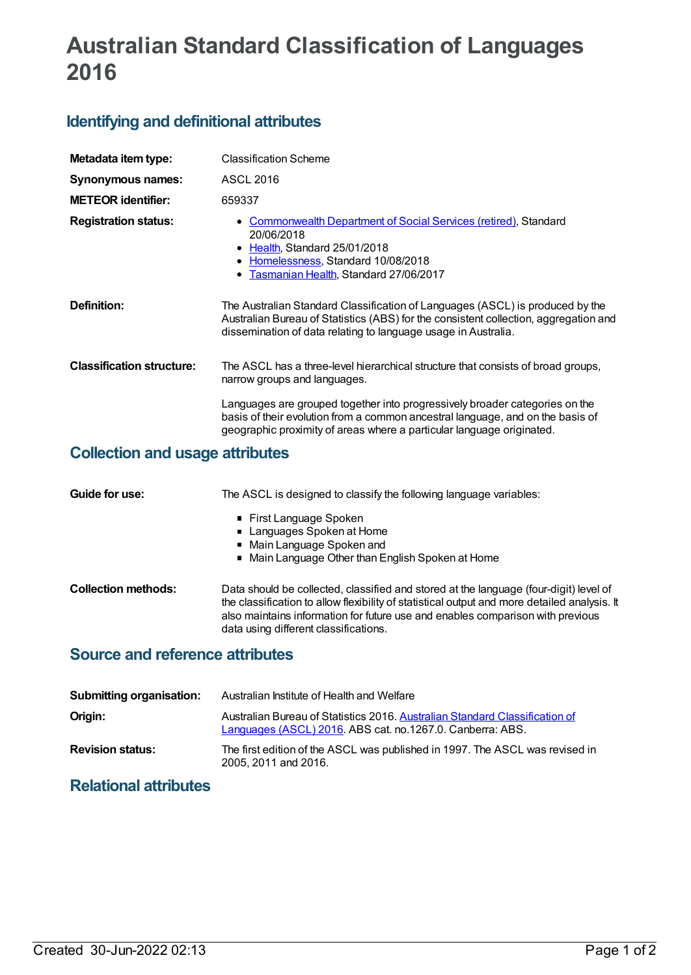# **Australian Standard Classification of Languages 2016**

## **Identifying and definitional attributes**

| Metadata item type:                    | <b>Classification Scheme</b>                                                                                                                                                                                                            |  |
|----------------------------------------|-----------------------------------------------------------------------------------------------------------------------------------------------------------------------------------------------------------------------------------------|--|
| <b>Synonymous names:</b>               | <b>ASCL 2016</b>                                                                                                                                                                                                                        |  |
| <b>METEOR identifier:</b>              | 659337                                                                                                                                                                                                                                  |  |
| <b>Registration status:</b>            | <b>Commonwealth Department of Social Services (retired), Standard</b><br>20/06/2018<br>• Health, Standard 25/01/2018<br>• Homelessness, Standard 10/08/2018<br>Tasmanian Health, Standard 27/06/2017                                    |  |
| Definition:                            | The Australian Standard Classification of Languages (ASCL) is produced by the<br>Australian Bureau of Statistics (ABS) for the consistent collection, aggregation and<br>dissemination of data relating to language usage in Australia. |  |
| <b>Classification structure:</b>       | The ASCL has a three-level hierarchical structure that consists of broad groups,<br>narrow groups and languages.                                                                                                                        |  |
|                                        | Languages are grouped together into progressively broader categories on the<br>basis of their evolution from a common ancestral language, and on the basis of<br>geographic proximity of areas where a particular language originated.  |  |
| <b>Collection and usage attributes</b> |                                                                                                                                                                                                                                         |  |

| Guide for use:             | The ASCL is designed to classify the following language variables:                                                                                                                                                                                                                                               |  |  |
|----------------------------|------------------------------------------------------------------------------------------------------------------------------------------------------------------------------------------------------------------------------------------------------------------------------------------------------------------|--|--|
|                            | ■ First Language Spoken<br>■ Languages Spoken at Home                                                                                                                                                                                                                                                            |  |  |
|                            | • Main Language Spoken and                                                                                                                                                                                                                                                                                       |  |  |
|                            | • Main Language Other than English Spoken at Home                                                                                                                                                                                                                                                                |  |  |
| <b>Collection methods:</b> | Data should be collected, classified and stored at the language (four-digit) level of<br>the classification to allow flexibility of statistical output and more detailed analysis. It<br>also maintains information for future use and enables comparison with previous<br>data using different classifications. |  |  |
|                            |                                                                                                                                                                                                                                                                                                                  |  |  |

### **Source and reference attributes**

| <b>Submitting organisation:</b> | Australian Institute of Health and Welfare                                                                                               |
|---------------------------------|------------------------------------------------------------------------------------------------------------------------------------------|
| Origin:                         | Australian Bureau of Statistics 2016. Australian Standard Classification of<br>Languages (ASCL) 2016. ABS cat. no.1267.0. Canberra: ABS. |
| <b>Revision status:</b>         | The first edition of the ASCL was published in 1997. The ASCL was revised in<br>2005, 2011 and 2016.                                     |

# **Relational attributes**